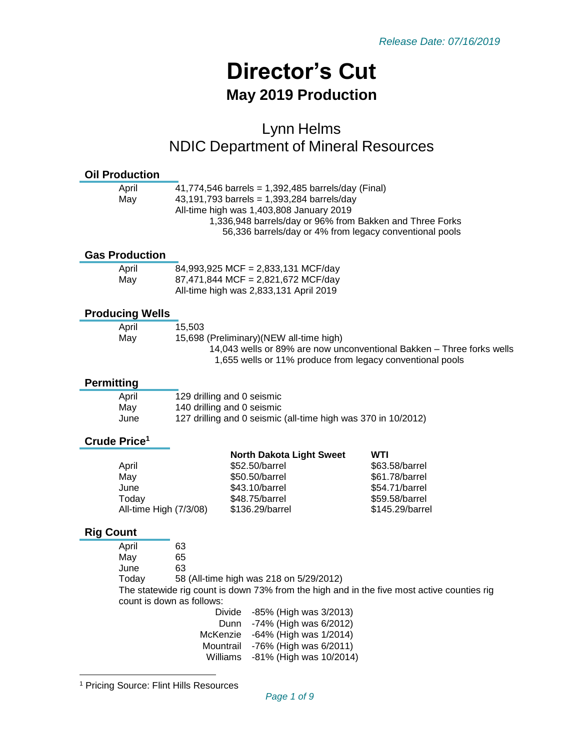# **Director's Cut May 2019 Production**

# Lynn Helms NDIC Department of Mineral Resources

# **Oil Production** April 41,774,546 barrels = 1,392,485 barrels/day (Final) May  $43,191,793$  barrels = 1,393,284 barrels/day All-time high was 1,403,808 January 2019 1,336,948 barrels/day or 96% from Bakken and Three Forks 56,336 barrels/day or 4% from legacy conventional pools **Gas Production** April 84,993,925 MCF = 2,833,131 MCF/day May 87,471,844 MCF = 2,821,672 MCF/day All-time high was 2,833,131 April 2019 **Producing Wells** April 15,503 May 15,698 (Preliminary)(NEW all-time high) 14,043 wells or 89% are now unconventional Bakken – Three forks wells 1,655 wells or 11% produce from legacy conventional pools **Permitting** April 129 drilling and 0 seismic May 140 drilling and 0 seismic June 127 drilling and 0 seismic (all-time high was 370 in 10/2012) **Crude Price<sup>1</sup> North Dakota Light Sweet WTI** April \$52.50/barrel \$63.58/barrel May **\$50.50/barrel** \$61.78/barrel June  $$43.10/b$ arrel  $$54.71/b$ arrel Today \$48.75/barrel \$59.58/barrel All-time High (7/3/08) \$136.29/barrel \$145.29/barrel **Rig Count** April 63 May 65 June 63

Today 58 (All-time high was 218 on 5/29/2012)

The statewide rig count is down 73% from the high and in the five most active counties rig count is down as follows:

| Divide          | -85% (High was 3/2013)  |
|-----------------|-------------------------|
| Dunn            | -74% (High was 6/2012)  |
| McKenzie        | -64% (High was 1/2014)  |
| Mountrail       | -76% (High was 6/2011)  |
| <b>Williams</b> | -81% (High was 10/2014) |
|                 |                         |

<sup>1</sup> Pricing Source: Flint Hills Resources

l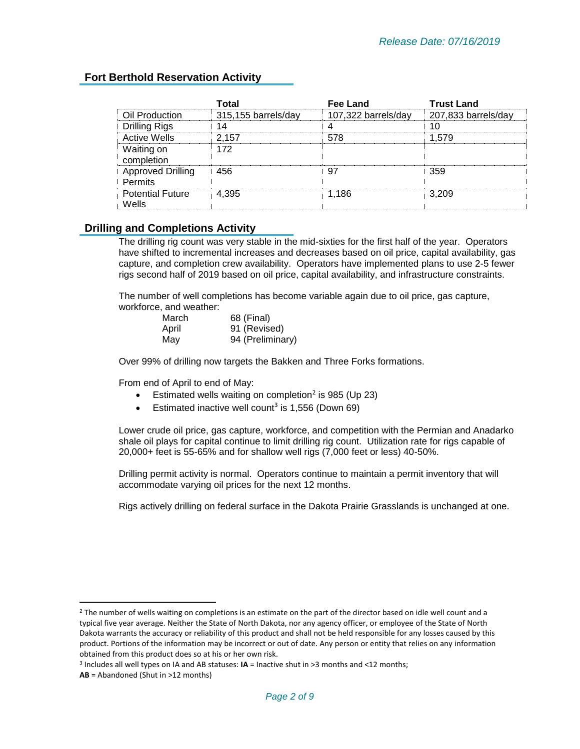| <b>Fort Berthold Reservation Activity</b> |  |
|-------------------------------------------|--|
|                                           |  |

|                                            | Total               | Fee Land            | <b>Trust Land</b>   |
|--------------------------------------------|---------------------|---------------------|---------------------|
| Oil Production                             | 315,155 barrels/day | 107,322 barrels/day | 207,833 barrels/day |
| <b>Drilling Rigs</b>                       |                     |                     |                     |
| <b>Active Wells</b>                        | 2.157               | 578                 | 1.579               |
| Waiting on<br>completion                   | 172                 |                     |                     |
| <b>Approved Drilling</b><br><b>Permits</b> | 456                 | 97                  | 359                 |
| <b>Potential Future</b><br>Wells           | 4 395               | 1.186               | 3.209               |

#### **Drilling and Completions Activity**

The drilling rig count was very stable in the mid-sixties for the first half of the year. Operators have shifted to incremental increases and decreases based on oil price, capital availability, gas capture, and completion crew availability. Operators have implemented plans to use 2-5 fewer rigs second half of 2019 based on oil price, capital availability, and infrastructure constraints.

The number of well completions has become variable again due to oil price, gas capture, workforce, and weather:

| March | 68 (Final)       |
|-------|------------------|
| April | 91 (Revised)     |
| May   | 94 (Preliminary) |

Over 99% of drilling now targets the Bakken and Three Forks formations.

From end of April to end of May:

- **•** Estimated wells waiting on completion<sup>2</sup> is 985 (Up 23)
- **Estimated inactive well count<sup>3</sup> is 1,556 (Down 69)**

Lower crude oil price, gas capture, workforce, and competition with the Permian and Anadarko shale oil plays for capital continue to limit drilling rig count. Utilization rate for rigs capable of 20,000+ feet is 55-65% and for shallow well rigs (7,000 feet or less) 40-50%.

Drilling permit activity is normal. Operators continue to maintain a permit inventory that will accommodate varying oil prices for the next 12 months.

Rigs actively drilling on federal surface in the Dakota Prairie Grasslands is unchanged at one.

 $\overline{\phantom{a}}$ 

 $2$  The number of wells waiting on completions is an estimate on the part of the director based on idle well count and a typical five year average. Neither the State of North Dakota, nor any agency officer, or employee of the State of North Dakota warrants the accuracy or reliability of this product and shall not be held responsible for any losses caused by this product. Portions of the information may be incorrect or out of date. Any person or entity that relies on any information obtained from this product does so at his or her own risk.

<sup>3</sup> Includes all well types on IA and AB statuses: **IA** = Inactive shut in >3 months and <12 months;

**AB** = Abandoned (Shut in >12 months)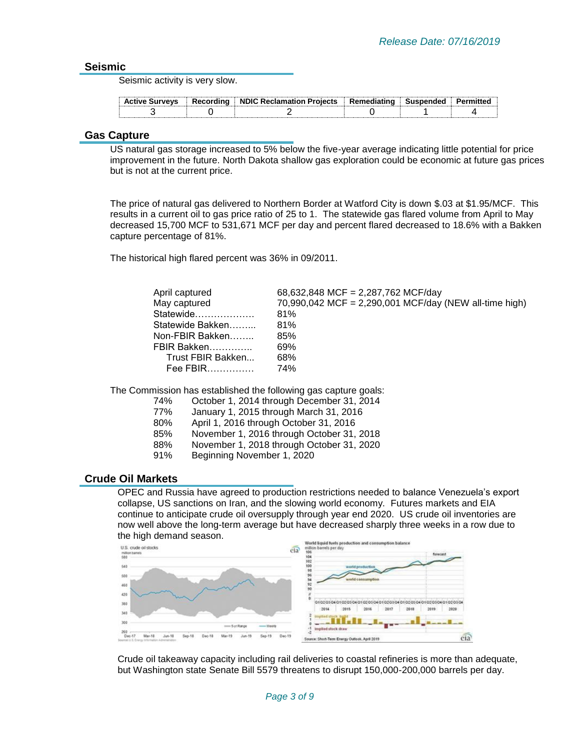#### **Seismic**

Seismic activity is very slow.

| <b>Active Surveys</b> | Recordina i | NDIC Reclamation Projects | : Remediating | Suspended |  |
|-----------------------|-------------|---------------------------|---------------|-----------|--|
|                       |             |                           |               |           |  |

#### **Gas Capture**

US natural gas storage increased to 5% below the five-year average indicating little potential for price improvement in the future. North Dakota shallow gas exploration could be economic at future gas prices but is not at the current price.

The price of natural gas delivered to Northern Border at Watford City is down \$.03 at \$1.95/MCF. This results in a current oil to gas price ratio of 25 to 1. The statewide gas flared volume from April to May decreased 15,700 MCF to 531,671 MCF per day and percent flared decreased to 18.6% with a Bakken capture percentage of 81%.

The historical high flared percent was 36% in 09/2011.

| April captured    | 68,632,848 MCF = 2,287,762 MCF/day                     |
|-------------------|--------------------------------------------------------|
| May captured      | 70,990,042 MCF = 2,290,001 MCF/day (NEW all-time high) |
| Statewide         | 81%                                                    |
| Statewide Bakken  | 81%                                                    |
| Non-FBIR Bakken   | 85%                                                    |
| FBIR Bakken       | 69%                                                    |
| Trust FBIR Bakken | 68%                                                    |
| Fee FBIR          | 74%                                                    |

The Commission has established the following gas capture goals:

| 74% | October 1, 2014 through December 31, 2014 |
|-----|-------------------------------------------|
| 77% | January 1, 2015 through March 31, 2016    |
| 80% | April 1, 2016 through October 31, 2016    |
| 85% | November 1, 2016 through October 31, 2018 |
| 88% | November 1, 2018 through October 31, 2020 |
| 91% | Beginning November 1, 2020                |

#### **Crude Oil Markets**

OPEC and Russia have agreed to production restrictions needed to balance Venezuela's export collapse, US sanctions on Iran, and the slowing world economy. Futures markets and EIA continue to anticipate crude oil oversupply through year end 2020. US crude oil inventories are now well above the long-term average but have decreased sharply three weeks in a row due to the high demand season.



Crude oil takeaway capacity including rail deliveries to coastal refineries is more than adequate, but Washington state Senate Bill 5579 threatens to disrupt 150,000-200,000 barrels per day.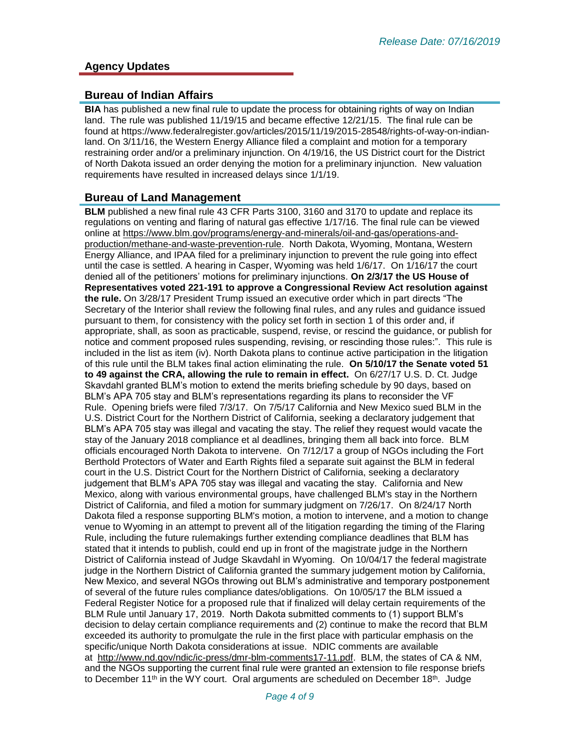### **Agency Updates**

#### **Bureau of Indian Affairs**

**BIA** has published a new final rule to update the process for obtaining rights of way on Indian land. The rule was published 11/19/15 and became effective 12/21/15. The final rule can be found at https://www.federalregister.gov/articles/2015/11/19/2015-28548/rights-of-way-on-indianland. On 3/11/16, the Western Energy Alliance filed a complaint and motion for a temporary restraining order and/or a preliminary injunction. On 4/19/16, the US District court for the District of North Dakota issued an order denying the motion for a preliminary injunction. New valuation requirements have resulted in increased delays since 1/1/19.

#### **Bureau of Land Management**

**BLM** published a new final rule 43 CFR Parts 3100, 3160 and 3170 to update and replace its regulations on venting and flaring of natural gas effective 1/17/16. The final rule can be viewed online at [https://www.blm.gov/programs/energy-and-minerals/oil-and-gas/operations-and](https://www.blm.gov/programs/energy-and-minerals/oil-and-gas/operations-and-production/methane-and-waste-prevention-rule)[production/methane-and-waste-prevention-rule.](https://www.blm.gov/programs/energy-and-minerals/oil-and-gas/operations-and-production/methane-and-waste-prevention-rule) North Dakota, Wyoming, Montana, Western Energy Alliance, and IPAA filed for a preliminary injunction to prevent the rule going into effect until the case is settled. A hearing in Casper, Wyoming was held 1/6/17. On 1/16/17 the court denied all of the petitioners' motions for preliminary injunctions. **On 2/3/17 the US House of Representatives voted 221-191 to approve a Congressional Review Act resolution against the rule.** On 3/28/17 President Trump issued an executive order which in part directs "The Secretary of the Interior shall review the following final rules, and any rules and guidance issued pursuant to them, for consistency with the policy set forth in section 1 of this order and, if appropriate, shall, as soon as practicable, suspend, revise, or rescind the guidance, or publish for notice and comment proposed rules suspending, revising, or rescinding those rules:". This rule is included in the list as item (iv). North Dakota plans to continue active participation in the litigation of this rule until the BLM takes final action eliminating the rule. **On 5/10/17 the Senate voted 51 to 49 against the CRA, allowing the rule to remain in effect.** On 6/27/17 U.S. D. Ct. Judge Skavdahl granted BLM's motion to extend the merits briefing schedule by 90 days, based on BLM's APA 705 stay and BLM's representations regarding its plans to reconsider the VF Rule. Opening briefs were filed 7/3/17. On 7/5/17 California and New Mexico sued BLM in the U.S. District Court for the Northern District of California, seeking a declaratory judgement that BLM's APA 705 stay was illegal and vacating the stay. The relief they request would vacate the stay of the January 2018 compliance et al deadlines, bringing them all back into force. BLM officials encouraged North Dakota to intervene. On 7/12/17 a group of NGOs including the Fort Berthold Protectors of Water and Earth Rights filed a separate suit against the BLM in federal court in the U.S. District Court for the Northern District of California, seeking a declaratory judgement that BLM's APA 705 stay was illegal and vacating the stay. California and New Mexico, along with various environmental groups, have challenged BLM's stay in the Northern District of California, and filed a motion for summary judgment on 7/26/17. On 8/24/17 North Dakota filed a response supporting BLM's motion, a motion to intervene, and a motion to change venue to Wyoming in an attempt to prevent all of the litigation regarding the timing of the Flaring Rule, including the future rulemakings further extending compliance deadlines that BLM has stated that it intends to publish, could end up in front of the magistrate judge in the Northern District of California instead of Judge Skavdahl in Wyoming. On 10/04/17 the federal magistrate judge in the Northern District of California granted the summary judgement motion by California, New Mexico, and several NGOs throwing out BLM's administrative and temporary postponement of several of the future rules compliance dates/obligations. On 10/05/17 the BLM issued a Federal Register Notice for a proposed rule that if finalized will delay certain requirements of the BLM Rule until January 17, 2019. North Dakota submitted comments to (1) support BLM's decision to delay certain compliance requirements and (2) continue to make the record that BLM exceeded its authority to promulgate the rule in the first place with particular emphasis on the specific/unique North Dakota considerations at issue. NDIC comments are available at [http://www.nd.gov/ndic/ic-press/dmr-blm-comments17-11.pdf.](http://www.nd.gov/ndic/ic-press/dmr-blm-comments17-11.pdf) BLM, the states of CA & NM, and the NGOs supporting the current final rule were granted an extension to file response briefs to December 11<sup>th</sup> in the WY court. Oral arguments are scheduled on December 18<sup>th</sup>. Judge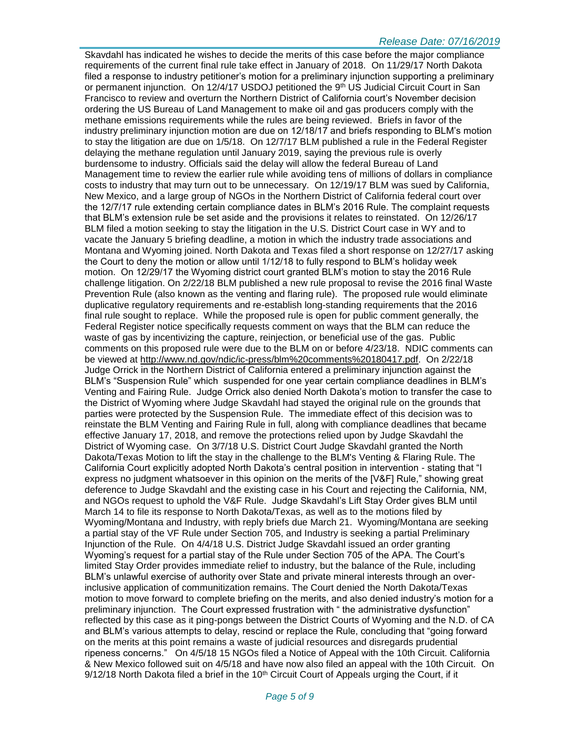Skavdahl has indicated he wishes to decide the merits of this case before the major compliance requirements of the current final rule take effect in January of 2018. On 11/29/17 North Dakota filed a response to industry petitioner's motion for a preliminary injunction supporting a preliminary or permanent injunction. On 12/4/17 USDOJ petitioned the 9<sup>th</sup> US Judicial Circuit Court in San Francisco to review and overturn the Northern District of California court's November decision ordering the US Bureau of Land Management to make oil and gas producers comply with the methane emissions requirements while the rules are being reviewed. Briefs in favor of the industry preliminary injunction motion are due on 12/18/17 and briefs responding to BLM's motion to stay the litigation are due on 1/5/18. On 12/7/17 BLM published a rule in the Federal Register delaying the methane regulation until January 2019, saying the previous rule is overly burdensome to industry. Officials said the delay will allow the federal Bureau of Land Management time to review the earlier rule while avoiding tens of millions of dollars in compliance costs to industry that may turn out to be unnecessary. On 12/19/17 BLM was sued by California, New Mexico, and a large group of NGOs in the Northern District of California federal court over the 12/7/17 rule extending certain compliance dates in BLM's 2016 Rule. The complaint requests that BLM's extension rule be set aside and the provisions it relates to reinstated. On 12/26/17 BLM filed a motion seeking to stay the litigation in the U.S. District Court case in WY and to vacate the January 5 briefing deadline, a motion in which the industry trade associations and Montana and Wyoming joined. North Dakota and Texas filed a short response on 12/27/17 asking the Court to deny the motion or allow until 1/12/18 to fully respond to BLM's holiday week motion. On 12/29/17 the Wyoming district court granted BLM's motion to stay the 2016 Rule challenge litigation. On 2/22/18 BLM published a new rule proposal to revise the 2016 final Waste Prevention Rule (also known as the venting and flaring rule). The proposed rule would eliminate duplicative regulatory requirements and re-establish long-standing requirements that the 2016 final rule sought to replace. While the proposed rule is open for public comment generally, the Federal Register notice specifically requests comment on ways that the BLM can reduce the waste of gas by incentivizing the capture, reinjection, or beneficial use of the gas. Public comments on this proposed rule were due to the BLM on or before 4/23/18. NDIC comments can be viewed at [http://www.nd.gov/ndic/ic-press/blm%20comments%20180417.pdf.](http://www.nd.gov/ndic/ic-press/blm%20comments%20180417.pdf) On 2/22/18 Judge Orrick in the Northern District of California entered a preliminary injunction against the BLM's "Suspension Rule" which suspended for one year certain compliance deadlines in BLM's Venting and Fairing Rule. Judge Orrick also denied North Dakota's motion to transfer the case to the District of Wyoming where Judge Skavdahl had stayed the original rule on the grounds that parties were protected by the Suspension Rule. The immediate effect of this decision was to reinstate the BLM Venting and Fairing Rule in full, along with compliance deadlines that became effective January 17, 2018, and remove the protections relied upon by Judge Skavdahl the District of Wyoming case. On 3/7/18 U.S. District Court Judge Skavdahl granted the North Dakota/Texas Motion to lift the stay in the challenge to the BLM's Venting & Flaring Rule. The California Court explicitly adopted North Dakota's central position in intervention - stating that "I express no judgment whatsoever in this opinion on the merits of the [V&F] Rule," showing great deference to Judge Skavdahl and the existing case in his Court and rejecting the California, NM, and NGOs request to uphold the V&F Rule. Judge Skavdahl's Lift Stay Order gives BLM until March 14 to file its response to North Dakota/Texas, as well as to the motions filed by Wyoming/Montana and Industry, with reply briefs due March 21. Wyoming/Montana are seeking a partial stay of the VF Rule under Section 705, and Industry is seeking a partial Preliminary Injunction of the Rule. On 4/4/18 U.S. District Judge Skavdahl issued an order granting Wyoming's request for a partial stay of the Rule under Section 705 of the APA. The Court's limited Stay Order provides immediate relief to industry, but the balance of the Rule, including BLM's unlawful exercise of authority over State and private mineral interests through an overinclusive application of communitization remains. The Court denied the North Dakota/Texas motion to move forward to complete briefing on the merits, and also denied industry's motion for a preliminary injunction. The Court expressed frustration with " the administrative dysfunction" reflected by this case as it ping-pongs between the District Courts of Wyoming and the N.D. of CA and BLM's various attempts to delay, rescind or replace the Rule, concluding that "going forward on the merits at this point remains a waste of judicial resources and disregards prudential ripeness concerns." On 4/5/18 15 NGOs filed a Notice of Appeal with the 10th Circuit. California & New Mexico followed suit on 4/5/18 and have now also filed an appeal with the 10th Circuit. On  $9/12/18$  North Dakota filed a brief in the 10<sup>th</sup> Circuit Court of Appeals urging the Court, if it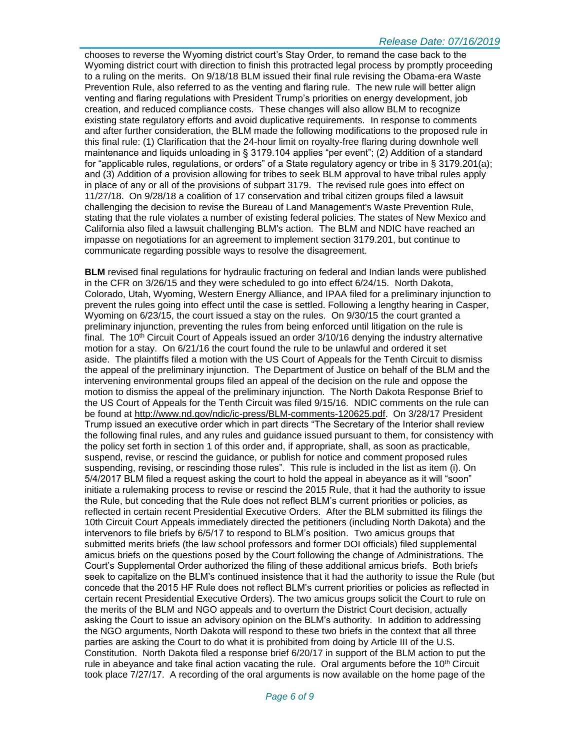chooses to reverse the Wyoming district court's Stay Order, to remand the case back to the Wyoming district court with direction to finish this protracted legal process by promptly proceeding to a ruling on the merits. On 9/18/18 BLM issued their final rule revising the Obama-era Waste Prevention Rule, also referred to as the venting and flaring rule. The new rule will better align venting and flaring regulations with President Trump's priorities on energy development, job creation, and reduced compliance costs. These changes will also allow BLM to recognize existing state regulatory efforts and avoid duplicative requirements. In response to comments and after further consideration, the BLM made the following modifications to the proposed rule in this final rule: (1) Clarification that the 24-hour limit on royalty-free flaring during downhole well maintenance and liquids unloading in § 3179.104 applies "per event"; (2) Addition of a standard for "applicable rules, regulations, or orders" of a State regulatory agency or tribe in § 3179.201(a); and (3) Addition of a provision allowing for tribes to seek BLM approval to have tribal rules apply in place of any or all of the provisions of subpart 3179. The revised rule goes into effect on 11/27/18. On 9/28/18 a coalition of 17 conservation and tribal citizen groups filed a lawsuit challenging the decision to revise the Bureau of Land Management's Waste Prevention Rule, stating that the rule violates a number of existing federal policies. The states of New Mexico and California also filed a lawsuit challenging BLM's action. The BLM and NDIC have reached an impasse on negotiations for an agreement to implement section 3179.201, but continue to communicate regarding possible ways to resolve the disagreement.

**BLM** revised final regulations for hydraulic fracturing on federal and Indian lands were published in the CFR on 3/26/15 and they were scheduled to go into effect 6/24/15. North Dakota, Colorado, Utah, Wyoming, Western Energy Alliance, and IPAA filed for a preliminary injunction to prevent the rules going into effect until the case is settled. Following a lengthy hearing in Casper, Wyoming on 6/23/15, the court issued a stay on the rules. On 9/30/15 the court granted a preliminary injunction, preventing the rules from being enforced until litigation on the rule is final. The 10<sup>th</sup> Circuit Court of Appeals issued an order  $3/10/16$  denying the industry alternative motion for a stay. On 6/21/16 the court found the rule to be unlawful and ordered it set aside. The plaintiffs filed a motion with the US Court of Appeals for the Tenth Circuit to dismiss the appeal of the preliminary injunction. The Department of Justice on behalf of the BLM and the intervening environmental groups filed an appeal of the decision on the rule and oppose the motion to dismiss the appeal of the preliminary injunction. The North Dakota Response Brief to the US Court of Appeals for the Tenth Circuit was filed 9/15/16. NDIC comments on the rule can be found at [http://www.nd.gov/ndic/ic-press/BLM-comments-120625.pdf.](http://www.nd.gov/ndic/ic-press/BLM-comments-120625.pdf) On 3/28/17 President Trump issued an executive order which in part directs "The Secretary of the Interior shall review the following final rules, and any rules and guidance issued pursuant to them, for consistency with the policy set forth in section 1 of this order and, if appropriate, shall, as soon as practicable, suspend, revise, or rescind the guidance, or publish for notice and comment proposed rules suspending, revising, or rescinding those rules". This rule is included in the list as item (i). On 5/4/2017 BLM filed a request asking the court to hold the appeal in abeyance as it will "soon" initiate a rulemaking process to revise or rescind the 2015 Rule, that it had the authority to issue the Rule, but conceding that the Rule does not reflect BLM's current priorities or policies, as reflected in certain recent Presidential Executive Orders. After the BLM submitted its filings the 10th Circuit Court Appeals immediately directed the petitioners (including North Dakota) and the intervenors to file briefs by 6/5/17 to respond to BLM's position. Two amicus groups that submitted merits briefs (the law school professors and former DOI officials) filed supplemental amicus briefs on the questions posed by the Court following the change of Administrations. The Court's Supplemental Order authorized the filing of these additional amicus briefs. Both briefs seek to capitalize on the BLM's continued insistence that it had the authority to issue the Rule (but concede that the 2015 HF Rule does not reflect BLM's current priorities or policies as reflected in certain recent Presidential Executive Orders). The two amicus groups solicit the Court to rule on the merits of the BLM and NGO appeals and to overturn the District Court decision, actually asking the Court to issue an advisory opinion on the BLM's authority. In addition to addressing the NGO arguments, North Dakota will respond to these two briefs in the context that all three parties are asking the Court to do what it is prohibited from doing by Article III of the U.S. Constitution. North Dakota filed a response brief 6/20/17 in support of the BLM action to put the rule in abeyance and take final action vacating the rule. Oral arguments before the  $10<sup>th</sup>$  Circuit took place 7/27/17. A recording of the oral arguments is now available on the home page of the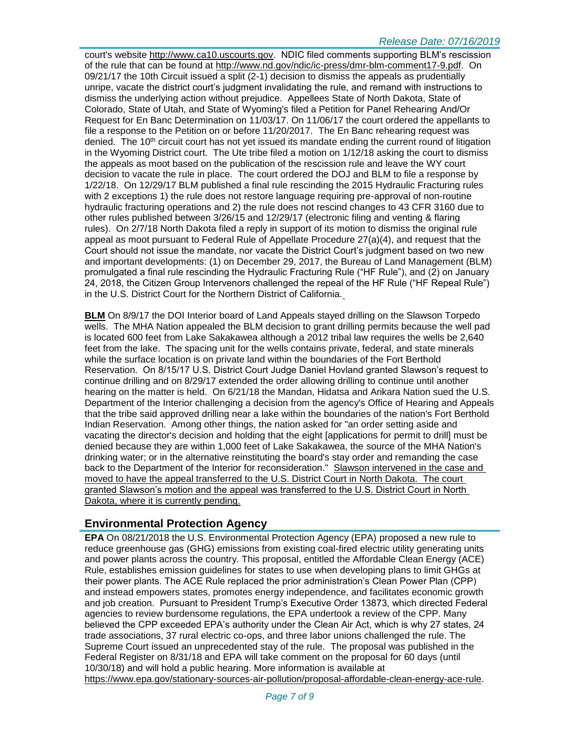#### *Release Date: 07/16/2019*

court's website [http://www.ca10.uscourts.gov.](https://urldefense.proofpoint.com/v2/url?u=http-3A__www.ca10.uscourts.gov&d=DwMGaQ&c=2s2mvbfY0UoSKkl6_Ol9wg&r=-wqsZnBxny594KY8HeElow&m=Ul_VtJUX6iW5pvHjCcBxUWtskC0F4Dhry3sPtcEHvCw&s=laRHiLDv5w8otcQWQjpn82WMieoB2AZ-Q4M1LFQPL5s&e=) NDIC filed comments supporting BLM's rescission of the rule that can be found at [http://www.nd.gov/ndic/ic-press/dmr-blm-comment17-9.pdf.](http://www.nd.gov/ndic/ic-press/dmr-blm-comment17-9.pdf) On 09/21/17 the 10th Circuit issued a split (2-1) decision to dismiss the appeals as prudentially unripe, vacate the district court's judgment invalidating the rule, and remand with instructions to dismiss the underlying action without prejudice. Appellees State of North Dakota, State of Colorado, State of Utah, and State of Wyoming's filed a Petition for Panel Rehearing And/Or Request for En Banc Determination on 11/03/17. On 11/06/17 the court ordered the appellants to file a response to the Petition on or before 11/20/2017. The En Banc rehearing request was denied. The  $10<sup>th</sup>$  circuit court has not yet issued its mandate ending the current round of litigation in the Wyoming District court. The Ute tribe filed a motion on 1/12/18 asking the court to dismiss the appeals as moot based on the publication of the rescission rule and leave the WY court decision to vacate the rule in place. The court ordered the DOJ and BLM to file a response by 1/22/18. On 12/29/17 BLM published a final rule rescinding the 2015 Hydraulic Fracturing rules with 2 exceptions 1) the rule does not restore language requiring pre-approval of non-routine hydraulic fracturing operations and 2) the rule does not rescind changes to 43 CFR 3160 due to other rules published between 3/26/15 and 12/29/17 (electronic filing and venting & flaring rules). On 2/7/18 North Dakota filed a reply in support of its motion to dismiss the original rule appeal as moot pursuant to Federal Rule of Appellate Procedure 27(a)(4), and request that the Court should not issue the mandate, nor vacate the District Court's judgment based on two new and important developments: (1) on December 29, 2017, the Bureau of Land Management (BLM) promulgated a final rule rescinding the Hydraulic Fracturing Rule ("HF Rule"), and (2) on January 24, 2018, the Citizen Group Intervenors challenged the repeal of the HF Rule ("HF Repeal Rule") in the U.S. District Court for the Northern District of California.

**BLM** On 8/9/17 the DOI Interior board of Land Appeals stayed drilling on the Slawson Torpedo wells. The MHA Nation appealed the BLM decision to grant drilling permits because the well pad is located 600 feet from Lake Sakakawea although a 2012 tribal law requires the wells be 2,640 feet from the lake. The spacing unit for the wells contains private, federal, and state minerals while the surface location is on private land within the boundaries of the Fort Berthold Reservation. On 8/15/17 U.S. District Court Judge Daniel Hovland granted Slawson's request to continue drilling and on 8/29/17 extended the order allowing drilling to continue until another hearing on the matter is held. On 6/21/18 the Mandan, Hidatsa and Arikara Nation sued the U.S. Department of the Interior challenging a decision from the agency's Office of Hearing and Appeals that the tribe said approved drilling near a lake within the boundaries of the nation's Fort Berthold Indian Reservation. Among other things, the nation asked for "an order setting aside and vacating the director's decision and holding that the eight [applications for permit to drill] must be denied because they are within 1,000 feet of Lake Sakakawea, the source of the MHA Nation's drinking water; or in the alternative reinstituting the board's stay order and remanding the case back to the Department of the Interior for reconsideration." Slawson intervened in the case and moved to have the appeal transferred to the U.S. District Court in North Dakota. The court granted Slawson's motion and the appeal was transferred to the U.S. District Court in North Dakota, where it is currently pending.

#### **Environmental Protection Agency**

**EPA** On 08/21/2018 the U.S. Environmental Protection Agency (EPA) proposed a new rule to reduce greenhouse gas (GHG) emissions from existing coal-fired electric utility generating units and power plants across the country. This proposal, entitled the Affordable Clean Energy (ACE) Rule, establishes emission guidelines for states to use when developing plans to limit GHGs at their power plants. The ACE Rule replaced the prior administration's Clean Power Plan (CPP) and instead empowers states, promotes energy independence, and facilitates economic growth and job creation. Pursuant to President Trump's Executive Order 13873, which directed Federal agencies to review burdensome regulations, the EPA undertook a review of the CPP. Many believed the CPP exceeded EPA's authority under the Clean Air Act, which is why 27 states, 24 trade associations, 37 rural electric co-ops, and three labor unions challenged the rule. The Supreme Court issued an unprecedented stay of the rule. The proposal was published in the Federal Register on 8/31/18 and EPA will take comment on the proposal for 60 days (until 10/30/18) and will hold a public hearing. More information is available at [https://www.epa.gov/stationary-sources-air-pollution/proposal-affordable-clean-energy-ace-rule.](https://www.epa.gov/stationary-sources-air-pollution/proposal-affordable-clean-energy-ace-rule)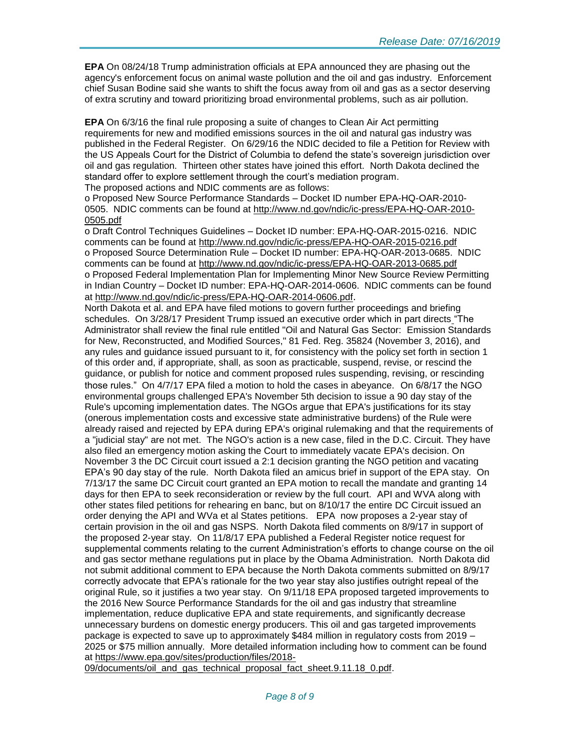**EPA** On 08/24/18 Trump administration officials at EPA announced they are phasing out the agency's enforcement focus on animal waste pollution and the oil and gas industry. Enforcement chief Susan Bodine said she wants to shift the focus away from oil and gas as a sector deserving of extra scrutiny and toward prioritizing broad environmental problems, such as air pollution.

**EPA** On 6/3/16 the final rule proposing a suite of changes to Clean Air Act permitting requirements for new and modified emissions sources in the oil and natural gas industry was published in the Federal Register. On 6/29/16 the NDIC decided to file a Petition for Review with the US Appeals Court for the District of Columbia to defend the state's sovereign jurisdiction over oil and gas regulation. Thirteen other states have joined this effort. North Dakota declined the standard offer to explore settlement through the court's mediation program. The proposed actions and NDIC comments are as follows:

o Proposed New Source Performance Standards – Docket ID number EPA-HQ-OAR-2010- 0505. NDIC comments can be found at [http://www.nd.gov/ndic/ic-press/EPA-HQ-OAR-2010-](http://www.nd.gov/ndic/ic-press/EPA-HQ-OAR-2010-0505.pdf) [0505.pdf](http://www.nd.gov/ndic/ic-press/EPA-HQ-OAR-2010-0505.pdf)

o Draft Control Techniques Guidelines – Docket ID number: EPA-HQ-OAR-2015-0216. NDIC comments can be found at<http://www.nd.gov/ndic/ic-press/EPA-HQ-OAR-2015-0216.pdf> o Proposed Source Determination Rule – Docket ID number: EPA-HQ-OAR-2013-0685. NDIC comments can be found at<http://www.nd.gov/ndic/ic-press/EPA-HQ-OAR-2013-0685.pdf> o Proposed Federal Implementation Plan for Implementing Minor New Source Review Permitting in Indian Country – Docket ID number: EPA-HQ-OAR-2014-0606. NDIC comments can be found at<http://www.nd.gov/ndic/ic-press/EPA-HQ-OAR-2014-0606.pdf>.

North Dakota et al. and EPA have filed motions to govern further proceedings and briefing schedules. On 3/28/17 President Trump issued an executive order which in part directs "The Administrator shall review the final rule entitled "Oil and Natural Gas Sector: Emission Standards for New, Reconstructed, and Modified Sources," 81 Fed. Reg. 35824 (November 3, 2016), and any rules and guidance issued pursuant to it, for consistency with the policy set forth in section 1 of this order and, if appropriate, shall, as soon as practicable, suspend, revise, or rescind the guidance, or publish for notice and comment proposed rules suspending, revising, or rescinding those rules." On 4/7/17 EPA filed a motion to hold the cases in abeyance. On 6/8/17 the NGO environmental groups challenged EPA's November 5th decision to issue a 90 day stay of the Rule's upcoming implementation dates. The NGOs argue that EPA's justifications for its stay (onerous implementation costs and excessive state administrative burdens) of the Rule were already raised and rejected by EPA during EPA's original rulemaking and that the requirements of a "judicial stay" are not met. The NGO's action is a new case, filed in the D.C. Circuit. They have also filed an emergency motion asking the Court to immediately vacate EPA's decision. On November 3 the DC Circuit court issued a 2:1 decision granting the NGO petition and vacating EPA's 90 day stay of the rule. North Dakota filed an amicus brief in support of the EPA stay. On 7/13/17 the same DC Circuit court granted an EPA motion to recall the mandate and granting 14 days for then EPA to seek reconsideration or review by the full court. API and WVA along with other states filed petitions for rehearing en banc, but on 8/10/17 the entire DC Circuit issued an order denying the API and WVa et al States petitions. EPA now proposes a 2-year stay of certain provision in the oil and gas NSPS. North Dakota filed comments on 8/9/17 in support of the proposed 2-year stay. On 11/8/17 EPA published a Federal Register notice request for supplemental comments relating to the current Administration's efforts to change course on the oil and gas sector methane regulations put in place by the Obama Administration. North Dakota did not submit additional comment to EPA because the North Dakota comments submitted on 8/9/17 correctly advocate that EPA's rationale for the two year stay also justifies outright repeal of the original Rule, so it justifies a two year stay. On 9/11/18 EPA proposed targeted improvements to the 2016 New Source Performance Standards for the oil and gas industry that streamline implementation, reduce duplicative EPA and state requirements, and significantly decrease unnecessary burdens on domestic energy producers. This oil and gas targeted improvements package is expected to save up to approximately \$484 million in regulatory costs from 2019 – 2025 or \$75 million annually. More detailed information including how to comment can be found at [https://www.epa.gov/sites/production/files/2018-](https://www.epa.gov/sites/production/files/2018-09/documents/oil_and_gas_technical_proposal_fact_sheet.9.11.18_0.pdf)

[09/documents/oil\\_and\\_gas\\_technical\\_proposal\\_fact\\_sheet.9.11.18\\_0.pdf.](https://www.epa.gov/sites/production/files/2018-09/documents/oil_and_gas_technical_proposal_fact_sheet.9.11.18_0.pdf)